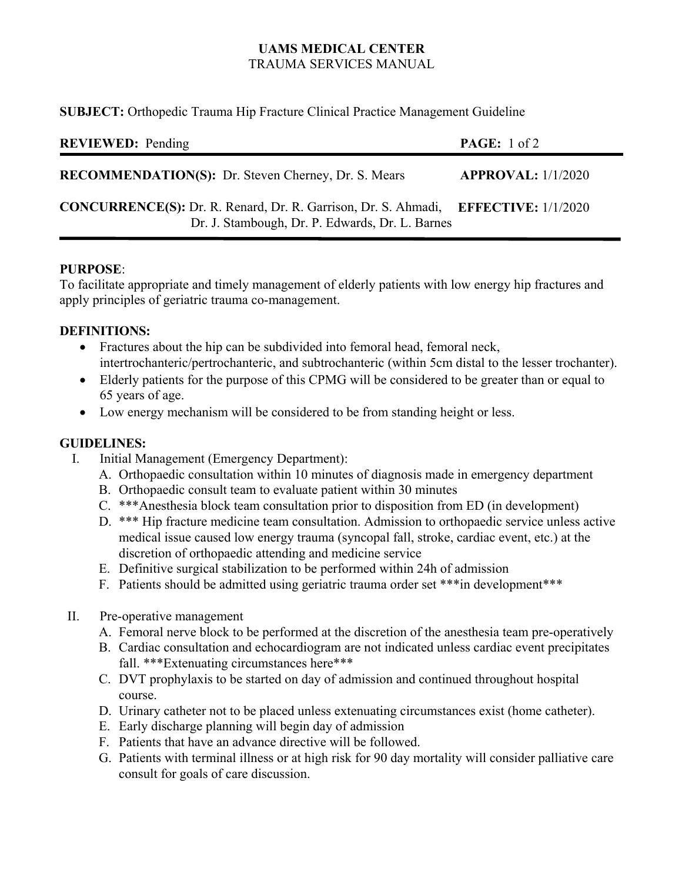# **UAMS MEDICAL CENTER** TRAUMA SERVICES MANUAL

**SUBJECT:** Orthopedic Trauma Hip Fracture Clinical Practice Management Guideline

| <b>REVIEWED:</b> Pending                                                                                                              | <b>PAGE:</b> $1 \text{ of } 2$ |
|---------------------------------------------------------------------------------------------------------------------------------------|--------------------------------|
| <b>RECOMMENDATION(S):</b> Dr. Steven Cherney, Dr. S. Mears                                                                            | APPROVAL: $1/1/2020$           |
| CONCURRENCE(S): Dr. R. Renard, Dr. R. Garrison, Dr. S. Ahmadi, EFFECTIVE: 1/1/2020<br>Dr. J. Stambough, Dr. P. Edwards, Dr. L. Barnes |                                |

#### **PURPOSE**:

To facilitate appropriate and timely management of elderly patients with low energy hip fractures and apply principles of geriatric trauma co-management.

## **DEFINITIONS:**

- Fractures about the hip can be subdivided into femoral head, femoral neck, intertrochanteric/pertrochanteric, and subtrochanteric (within 5cm distal to the lesser trochanter).
- Elderly patients for the purpose of this CPMG will be considered to be greater than or equal to 65 years of age.
- Low energy mechanism will be considered to be from standing height or less.

## **GUIDELINES:**

- I. Initial Management (Emergency Department):
	- A. Orthopaedic consultation within 10 minutes of diagnosis made in emergency department
	- B. Orthopaedic consult team to evaluate patient within 30 minutes
	- C. \*\*\*Anesthesia block team consultation prior to disposition from ED (in development)
	- D. \*\*\* Hip fracture medicine team consultation. Admission to orthopaedic service unless active medical issue caused low energy trauma (syncopal fall, stroke, cardiac event, etc.) at the discretion of orthopaedic attending and medicine service
	- E. Definitive surgical stabilization to be performed within 24h of admission
	- F. Patients should be admitted using geriatric trauma order set \*\*\*in development\*\*\*
- II. Pre-operative management
	- A. Femoral nerve block to be performed at the discretion of the anesthesia team pre-operatively
	- B. Cardiac consultation and echocardiogram are not indicated unless cardiac event precipitates fall. \*\*\*Extenuating circumstances here\*\*\*
	- C. DVT prophylaxis to be started on day of admission and continued throughout hospital course.
	- D. Urinary catheter not to be placed unless extenuating circumstances exist (home catheter).
	- E. Early discharge planning will begin day of admission
	- F. Patients that have an advance directive will be followed.
	- G. Patients with terminal illness or at high risk for 90 day mortality will consider palliative care consult for goals of care discussion.